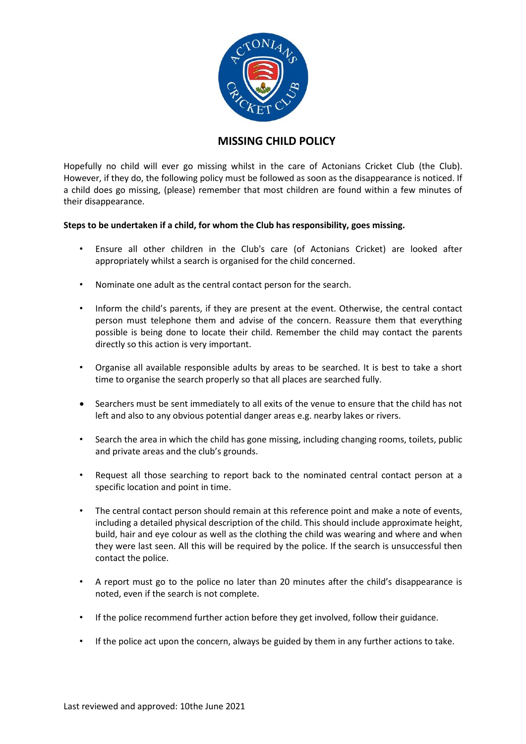

## **MISSING CHILD POLICY**

Hopefully no child will ever go missing whilst in the care of Actonians Cricket Club (the Club). However, if they do, the following policy must be followed as soon as the disappearance is noticed. If a child does go missing, (please) remember that most children are found within a few minutes of their disappearance.

## **Steps to be undertaken if a child, for whom the Club has responsibility, goes missing.**

- Ensure all other children in the Club's care (of Actonians Cricket) are looked after appropriately whilst a search is organised for the child concerned.
- Nominate one adult as the central contact person for the search.
- Inform the child's parents, if they are present at the event. Otherwise, the central contact person must telephone them and advise of the concern. Reassure them that everything possible is being done to locate their child. Remember the child may contact the parents directly so this action is very important.
- Organise all available responsible adults by areas to be searched. It is best to take a short time to organise the search properly so that all places are searched fully.
- Searchers must be sent immediately to all exits of the venue to ensure that the child has not left and also to any obvious potential danger areas e.g. nearby lakes or rivers.
- Search the area in which the child has gone missing, including changing rooms, toilets, public and private areas and the club's grounds.
- Request all those searching to report back to the nominated central contact person at a specific location and point in time.
- The central contact person should remain at this reference point and make a note of events, including a detailed physical description of the child. This should include approximate height, build, hair and eye colour as well as the clothing the child was wearing and where and when they were last seen. All this will be required by the police. If the search is unsuccessful then contact the police.
- A report must go to the police no later than 20 minutes after the child's disappearance is noted, even if the search is not complete.
- If the police recommend further action before they get involved, follow their guidance.
- If the police act upon the concern, always be guided by them in any further actions to take.